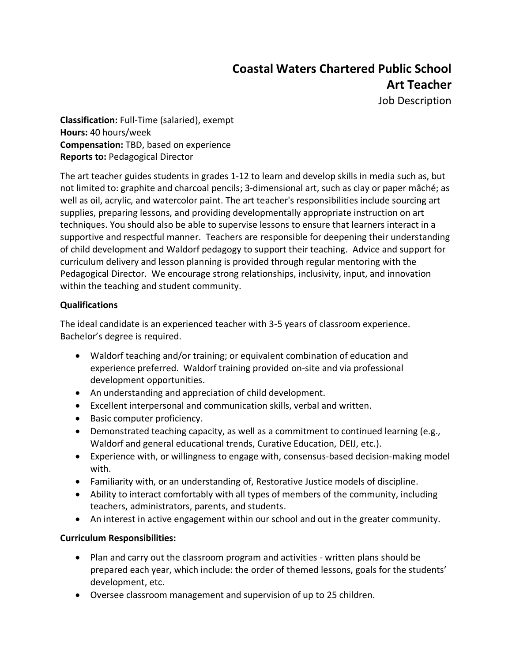# **Coastal Waters Chartered Public School Art Teacher**

Job Description

**Classification:** Full-Time (salaried), exempt **Hours:** 40 hours/week **Compensation:** TBD, based on experience **Reports to:** Pedagogical Director

The art teacher guides students in grades 1-12 to learn and develop skills in media such as, but not limited to: graphite and charcoal pencils; 3-dimensional art, such as clay or paper mâché; as well as oil, acrylic, and watercolor paint. The art teacher's responsibilities include sourcing art supplies, preparing lessons, and providing developmentally appropriate instruction on art techniques. You should also be able to supervise lessons to ensure that learners interact in a supportive and respectful manner. Teachers are responsible for deepening their understanding of child development and Waldorf pedagogy to support their teaching. Advice and support for curriculum delivery and lesson planning is provided through regular mentoring with the Pedagogical Director. We encourage strong relationships, inclusivity, input, and innovation within the teaching and student community.

# **Qualifications**

The ideal candidate is an experienced teacher with 3-5 years of classroom experience. Bachelor's degree is required.

- Waldorf teaching and/or training; or equivalent combination of education and experience preferred. Waldorf training provided on-site and via professional development opportunities.
- An understanding and appreciation of child development.
- Excellent interpersonal and communication skills, verbal and written.
- Basic computer proficiency.
- Demonstrated teaching capacity, as well as a commitment to continued learning (e.g., Waldorf and general educational trends, Curative Education, DEIJ, etc.).
- Experience with, or willingness to engage with, consensus-based decision-making model with.
- Familiarity with, or an understanding of, Restorative Justice models of discipline.
- Ability to interact comfortably with all types of members of the community, including teachers, administrators, parents, and students.
- An interest in active engagement within our school and out in the greater community.

### **Curriculum Responsibilities:**

- Plan and carry out the classroom program and activities written plans should be prepared each year, which include: the order of themed lessons, goals for the students' development, etc.
- Oversee classroom management and supervision of up to 25 children.